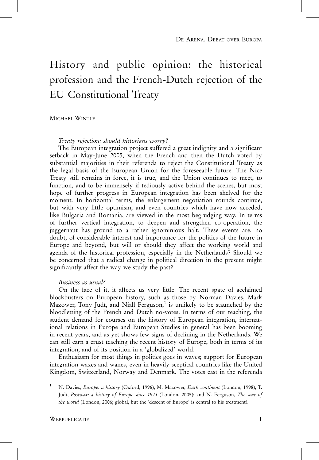# History and public opinion: the historical profession and the French-Dutch rejection of the EU Constitutional Treaty

MICHAEL WINTLE

Treaty rejection: should historians worry?

The European integration project suffered a great indignity and a significant setback in May-June 2005, when the French and then the Dutch voted by substantial majorities in their referenda to reject the Constitutional Treaty as the legal basis of the European Union for the foreseeable future. The Nice Treaty still remains in force, it is true, and the Union continues to meet, to function, and to be immensely if tediously active behind the scenes, but most hope of further progress in European integration has been shelved for the moment. In horizontal terms, the enlargement negotiation rounds continue, but with very little optimism, and even countries which have now acceded, like Bulgaria and Romania, are viewed in the most begrudging way. In terms of further vertical integration, to deepen and strengthen co-operation, the juggernaut has ground to a rather ignominious halt. These events are, no doubt, of considerable interest and importance for the politics of the future in Europe and beyond, but will or should they affect the working world and agenda of the historical profession, especially in the Netherlands? Should we be concerned that a radical change in political direction in the present might significantly affect the way we study the past?

#### Business as usual?

On the face of it, it affects us very little. The recent spate of acclaimed blockbusters on European history, such as those by Norman Davies, Mark Mazower, Tony Judt, and Niall Ferguson, $1$  is unlikely to be staunched by the bloodletting of the French and Dutch no-votes. In terms of our teaching, the student demand for courses on the history of European integration, international relations in Europe and European Studies in general has been booming in recent years, and as yet shows few signs of declining in the Netherlands. We can still earn a crust teaching the recent history of Europe, both in terms of its integration, and of its position in a 'globalized' world.

Enthusiasm for most things in politics goes in waves; support for European integration waxes and wanes, even in heavily sceptical countries like the United Kingdom, Switzerland, Norway and Denmark. The votes cast in the referenda

<sup>1</sup> N. Davies, Europe: a history (Oxford, 1996); M. Mazower, Dark continent (London, 1998); T. Judt, Postwar: a history of Europe since 1945 (London, 2005); and N. Ferguson, The war of the world (London, 2006; global, but the 'descent of Europe' is central to his treatment).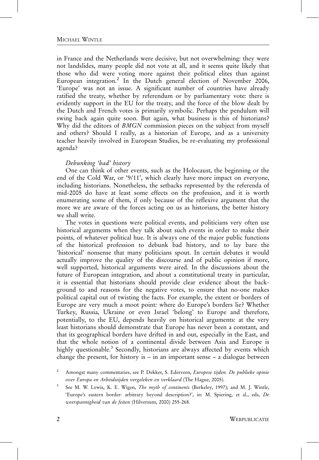# MICHAEL WINTLE

in France and the Netherlands were decisive, but not overwhelming: they were not landslides, many people did not vote at all, and it seems quite likely that those who did were voting more against their political elites than against European integration.<sup>2</sup> In the Dutch general election of November 2006, 'Europe' was not an issue. A significant number of countries have already ratified the treaty, whether by referendum or by parliamentary vote: there is evidently support in the EU for the treaty, and the force of the blow dealt by the Dutch and French votes is primarily symbolic. Perhaps the pendulum will swing back again quite soon. But again, what business is this of historians? Why did the editors of BMGN commission pieces on the subject from myself and others? Should I really, as a historian of Europe, and as a university teacher heavily involved in European Studies, be re-evaluating my professional agenda?

## Debunking 'bad' history

One can think of other events, such as the Holocaust, the beginning or the end of the Cold War, or '9/11', which clearly have more impact on everyone, including historians. Nonetheless, the setbacks represented by the referenda of mid-2005 do have at least some effects on the profession, and it is worth enumerating some of them, if only because of the reflexive argument that the more we are aware of the forces acting on us as historians, the better history we shall write.

The votes in questions were political events, and politicians very often use historical arguments when they talk about such events in order to make their points, of whatever political hue. It is always one of the major public functions of the historical profession to debunk bad history, and to lay bare the 'historical' nonsense that many politicians spout. In certain debates it would actually improve the quality of the discourse and of public opinion if more, well supported, historical arguments were aired. In the discussions about the future of European integration, and about a constitutional treaty in particular, it is essential that historians should provide clear evidence about the background to and reasons for the negative votes, to ensure that no-one makes political capital out of twisting the facts. For example, the extent or borders of Europe are very much a moot point: where do Europe's borders lie? Whether Turkey, Russia, Ukraine or even Israel 'belong' to Europe and therefore, potentially, to the EU, depends heavily on historical arguments: at the very least historians should demonstrate that Europe has never been a constant, and that its geographical borders have drifted in and out, especially in the East, and that the whole notion of a continental divide between Asia and Europe is highly questionable.<sup>3</sup> Secondly, historians are always affected by events which change the present, for history is  $-$  in an important sense  $-$  a dialogue between

<sup>2</sup> Amongst many commentaries, see P. Dekker, S. Ederveen, Europese tijden. De publieke opinie over Europa en Arbeidstijden vergeleken en verklaard (The Hague, 2005).

See M. W. Lewis, K. E. Wigen, The myth of continents (Berkeley, 1997); and M. J. Wintle, 'Europe's eastern border: arbitrary beyond description?', in: M. Spiering, et al., eds, De weerspannigheid van de feiten (Hilversum, 2000) 255-268.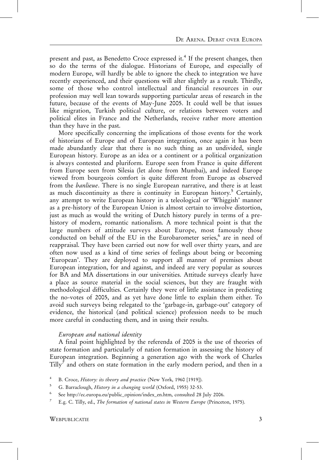present and past, as Benedetto Croce expressed it.<sup>4</sup> If the present changes, then so do the terms of the dialogue. Historians of Europe, and especially of modern Europe, will hardly be able to ignore the check to integration we have recently experienced, and their questions will alter slightly as a result. Thirdly, some of those who control intellectual and financial resources in our profession may well lean towards supporting particular areas of research in the future, because of the events of May-June 2005. It could well be that issues like migration, Turkish political culture, or relations between voters and political elites in France and the Netherlands, receive rather more attention than they have in the past.

More specifically concerning the implications of those events for the work of historians of Europe and of European integration, once again it has been made abundantly clear that there is no such thing as an undivided, single European history. Europe as an idea or a continent or a political organization is always contested and pluriform. Europe seen from France is quite different from Europe seen from Silesia (let alone from Mumbai), and indeed Europe viewed from bourgeois comfort is quite different from Europe as observed from the *banlieue*. There is no single European narrative, and there is at least as much discontinuity as there is continuity in European history.<sup>5</sup> Certainly, any attempt to write European history in a teleological or 'Whiggish' manner as a pre-history of the European Union is almost certain to involve distortion, just as much as would the writing of Dutch history purely in terms of a prehistory of modern, romantic nationalism. A more technical point is that the large numbers of attitude surveys about Europe, most famously those conducted on behalf of the EU in the Eurobarometer series,<sup>6</sup> are in need of reappraisal. They have been carried out now for well over thirty years, and are often now used as a kind of time series of feelings about being or becoming 'European'. They are deployed to support all manner of premises about European integration, for and against, and indeed are very popular as sources for BA and MA dissertations in our universities. Attitude surveys clearly have a place as source material in the social sciences, but they are fraught with methodological difficulties. Certainly they were of little assistance in predicting the no-votes of 2005, and as yet have done little to explain them either. To avoid such surveys being relegated to the 'garbage-in, garbage-out' category of evidence, the historical (and political science) profession needs to be much more careful in conducting them, and in using their results.

#### European and national identity

A final point highlighted by the referenda of 2005 is the use of theories of state formation and particularly of nation formation in assessing the history of European integration. Beginning a generation ago with the work of Charles Tilly<sup> $\prime$ </sup> and others on state formation in the early modern period, and then in a

B. Croce, History: its theory and practice (New York, 1960 [1919]).

<sup>&</sup>lt;sup>5</sup> G. Barraclough, *History in a changing world* (Oxford, 1955) 32-53.

<sup>6</sup> See http://ec.europa.eu/public\_opinion/index\_en.htm, consulted 28 July 2006.

<sup>&</sup>lt;sup>7</sup> E.g. C. Tilly, ed., *The formation of national states in Western Europe* (Princeton, 1975).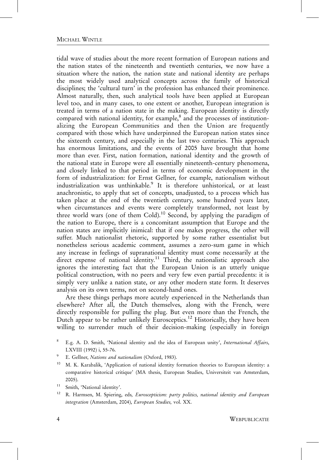# MICHAEL WINTLE

tidal wave of studies about the more recent formation of European nations and the nation states of the nineteenth and twentieth centuries, we now have a situation where the nation, the nation state and national identity are perhaps the most widely used analytical concepts across the family of historical disciplines; the 'cultural turn' in the profession has enhanced their prominence. Almost naturally, then, such analytical tools have been applied at European level too, and in many cases, to one extent or another, European integration is treated in terms of a nation state in the making. European identity is directly compared with national identity, for example,<sup>8</sup> and the processes of institutionalizing the European Communities and then the Union are frequently compared with those which have underpinned the European nation states since the sixteenth century, and especially in the last two centuries. This approach has enormous limitations, and the events of 2005 have brought that home more than ever. First, nation formation, national identity and the growth of the national state in Europe were all essentially nineteenth-century phenomena, and closely linked to that period in terms of economic development in the form of industrialization: for Ernst Gellner, for example, nationalism without industrialization was unthinkable.<sup>9</sup> It is therefore unhistorical, or at least anachronistic, to apply that set of concepts, unadjusted, to a process which has taken place at the end of the twentieth century, some hundred years later, when circumstances and events were completely transformed, not least by three world wars (one of them Cold).<sup>10</sup> Second, by applying the paradigm of the nation to Europe, there is a concomitant assumption that Europe and the nation states are implicitly inimical: that if one makes progress, the other will suffer. Much nationalist rhetoric, supported by some rather essentialist but nonetheless serious academic comment, assumes a zero-sum game in which any increase in feelings of supranational identity must come necessarily at the direct expense of national identity.<sup>11</sup> Third, the nationalistic approach also ignores the interesting fact that the European Union is an utterly unique political construction, with no peers and very few even partial precedents: it is simply very unlike a nation state, or any other modern state form. It deserves analysis on its own terms, not on second-hand ones.

Are these things perhaps more acutely experienced in the Netherlands than elsewhere? After all, the Dutch themselves, along with the French, were directly responsible for pulling the plug. But even more than the French, the Dutch appear to be rather unlikely Eurosceptics.<sup>12</sup> Historically, they have been willing to surrender much of their decision-making (especially in foreign

- <sup>9</sup> E. Gellner, *Nations and nationalism* (Oxford, 1983).
- <sup>10</sup> M. K. Karabalik, 'Application of national identity formation theories to European identity: a comparative historical critique' (MA thesis, European Studies, Universiteit van Amsterdam, 2005).
- <sup>11</sup> Smith, 'National identity'.
- <sup>12</sup> R. Harmsen, M. Spiering, eds, Euroscepticism: party politics, national identity and European integration (Amsterdam, 2004), European Studies, vol. XX.

<sup>8</sup> E.g. A. D. Smith, 'National identity and the idea of European unity', International Affairs, LXVIII (1992) i, 55-76.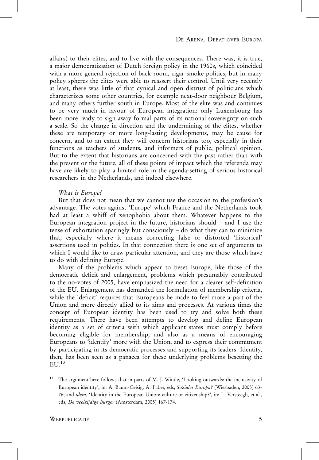affairs) to their elites, and to live with the consequences. There was, it is true, a major democratization of Dutch foreign policy in the 1960s, which coincided with a more general rejection of back-room, cigar-smoke politics, but in many policy spheres the elites were able to reassert their control. Until very recently at least, there was little of that cynical and open distrust of politicians which characterizes some other countries, for example next-door neighbour Belgium, and many others further south in Europe. Most of the elite was and continues to be very much in favour of European integration: only Luxembourg has been more ready to sign away formal parts of its national sovereignty on such a scale. So the change in direction and the undermining of the elites, whether these are temporary or more long-lasting developments, may be cause for concern, and to an extent they will concern historians too, especially in their functions as teachers of students, and informers of public, political opinion. But to the extent that historians are concerned with the past rather than with the present or the future, all of these points of impact which the referenda may have are likely to play a limited role in the agenda-setting of serious historical researchers in the Netherlands, and indeed elsewhere.

## What is Europe?

But that does not mean that we cannot use the occasion to the profession's advantage. The votes against 'Europe' which France and the Netherlands took had at least a whiff of xenophobia about them. Whatever happens to the European integration project in the future, historians should – and I use the tense of exhortation sparingly but consciously – do what they can to minimize that, especially where it means correcting false or distorted 'historical' assertions used in politics. In that connection there is one set of arguments to which I would like to draw particular attention, and they are those which have to do with defining Europe.

Many of the problems which appear to beset Europe, like those of the democratic deficit and enlargement, problems which presumably contributed to the no-votes of 2005, have emphasized the need for a clearer self-definition of the EU. Enlargement has demanded the formulation of membership criteria, while the 'deficit' requires that Europeans be made to feel more a part of the Union and more directly allied to its aims and processes. At various times the concept of European identity has been used to try and solve both these requirements. There have been attempts to develop and define European identity as a set of criteria with which applicant states must comply before becoming eligible for membership, and also as a means of encouraging Europeans to 'identify' more with the Union, and to express their commitment by participating in its democratic processes and supporting its leaders. Identity, then, has been seen as a panacea for these underlying problems besetting the  $ELJ<sub>13</sub>$ 

<sup>13</sup> The argument here follows that in parts of M. J. Wintle, 'Looking outwards: the inclusivity of European identity', in: A. Baum-Ceisig, A. Faber, eds, Soziales Europa? (Wiesbaden, 2005) 63- 76; and idem, 'Identity in the European Union: culture or citizenship?', in: L. Versteegh, et al., eds, De veelzijdige burger (Amsterdam, 2005) 167-174.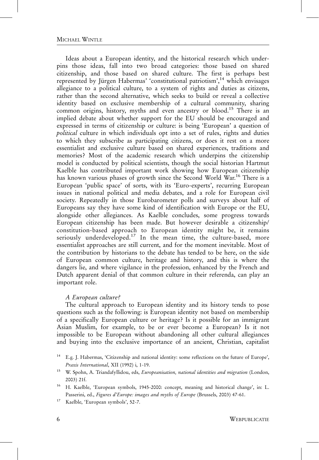# MICHAEL WINTLE

Ideas about a European identity, and the historical research which underpins those ideas, fall into two broad categories: those based on shared citizenship, and those based on shared culture. The first is perhaps best represented by Jürgen Habermas' 'constitutional patriotism', <sup>14</sup> which envisages allegiance to a political culture, to a system of rights and duties as citizens, rather than the second alternative, which seeks to build or reveal a collective identity based on exclusive membership of a cultural community, sharing common origins, history, myths and even ancestry or blood.<sup>15</sup> There is an implied debate about whether support for the EU should be encouraged and expressed in terms of citizenship or culture: is being 'European' a question of political culture in which individuals opt into a set of rules, rights and duties to which they subscribe as participating citizens, or does it rest on a more essentialist and exclusive culture based on shared experiences, traditions and memories? Most of the academic research which underpins the citizenship model is conducted by political scientists, though the social historian Hartmut Kaelble has contributed important work showing how European citizenship has known various phases of growth since the Second World War.<sup>16</sup> There is a European 'public space' of sorts, with its 'Euro-experts', recurring European issues in national political and media debates, and a role for European civil society. Repeatedly in those Eurobarometer polls and surveys about half of Europeans say they have some kind of identification with Europe or the EU, alongside other allegiances. As Kaelble concludes, some progress towards European citizenship has been made. But however desirable a citizenship/ constitution-based approach to European identity might be, it remains seriously underdeveloped.<sup>17</sup> In the mean time, the culture-based, more essentialist approaches are still current, and for the moment inevitable. Most of the contribution by historians to the debate has tended to be here, on the side of European common culture, heritage and history, and this is where the dangers lie, and where vigilance in the profession, enhanced by the French and Dutch apparent denial of that common culture in their referenda, can play an important role.

#### A European culture?

The cultural approach to European identity and its history tends to pose questions such as the following: is European identity not based on membership of a specifically European culture or heritage? Is it possible for an immigrant Asian Muslim, for example, to be or ever become a European? Is it not impossible to be European without abandoning all other cultural allegiances and buying into the exclusive importance of an ancient, Christian, capitalist

<sup>16</sup> H. Kaelble, 'European symbols, 1945-2000: concept, meaning and historical change', in: L. Passerini, ed., Figures d'Europe: images and myths of Europe (Brussels, 2003) 47-61.

<sup>14</sup> E.g. J. Habermas, 'Citizenship and national identity: some reflections on the future of Europe', Praxis International, XII (1992) i, 1-19.

<sup>&</sup>lt;sup>15</sup> W. Spohn, A. Triandafyllidou, eds, *Europeanisation, national identities and migration* (London, 2003) 21f.

<sup>17</sup> Kaelble, 'European symbols', 52-7.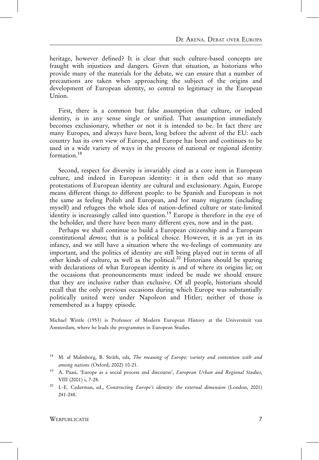heritage, however defined? It is clear that such culture-based concepts are fraught with injustices and dangers. Given that situation, as historians who provide many of the materials for the debate, we can ensure that a number of precautions are taken when approaching the subject of the origins and development of European identity, so central to legitimacy in the European Union.

First, there is a common but false assumption that culture, or indeed identity, is in any sense single or unified. That assumption immediately becomes exclusionary, whether or not it is intended to be. In fact there are many Europes, and always have been, long before the advent of the EU: each country has its own view of Europe, and Europe has been and continues to be used in a wide variety of ways in the process of national or regional identity formation.<sup>18</sup>

Second, respect for diversity is invariably cited as a core item in European culture, and indeed in European identity: it is then odd that so many protestations of European identity are cultural and exclusionary. Again, Europe means different things to different people: to be Spanish and European is not the same as feeling Polish and European, and for many migrants (including myself) and refugees the whole idea of nation-defined culture or state-limited identity is increasingly called into question.<sup>19</sup> Europe is therefore in the eye of the beholder, and there have been many different eyes, now and in the past.

Perhaps we shall continue to build a European citizenship and a European constitutional demos; that is a political choice. However, it is as yet in its infancy, and we still have a situation where the we-feelings of community are important, and the politics of identity are still being played out in terms of all other kinds of culture, as well as the political.<sup>20</sup> Historians should be sparing with declarations of what European identity is and of where its origins lie; on the occasions that pronouncements must indeed be made we should ensure that they are inclusive rather than exclusive. Of all people, historians should recall that the only previous occasions during which Europe was substantially politically united were under Napoleon and Hitler; neither of those is remembered as a happy episode.

Michael Wintle (1953) is Professor of Modern European History at the Universiteit van Amsterdam, where he leads the programmes in European Studies.

WEBPUBLICATIE 7

<sup>&</sup>lt;sup>18</sup> M. af Malmborg, B. Stråth, eds, The meaning of Europe: variety and contention with and among nations (Oxford, 2002) 10-21.

<sup>&</sup>lt;sup>19</sup> A. Paasi, 'Europe as a social process and discourse', European Urban and Regional Studies, VIII (2001) i, 7-28.

<sup>&</sup>lt;sup>20</sup> L-E. Cederman, ed., Constructing Europe's identity: the external dimension (London, 2001) 241-248.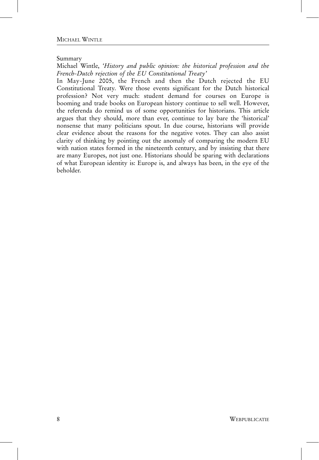Summary

Michael Wintle, 'History and public opinion: the historical profession and the French-Dutch rejection of the EU Constitutional Treaty'

In May-June 2005, the French and then the Dutch rejected the EU Constitutional Treaty. Were those events significant for the Dutch historical profession? Not very much: student demand for courses on Europe is booming and trade books on European history continue to sell well. However, the referenda do remind us of some opportunities for historians. This article argues that they should, more than ever, continue to lay bare the 'historical' nonsense that many politicians spout. In due course, historians will provide clear evidence about the reasons for the negative votes. They can also assist clarity of thinking by pointing out the anomaly of comparing the modern EU with nation states formed in the nineteenth century, and by insisting that there are many Europes, not just one. Historians should be sparing with declarations of what European identity is: Europe is, and always has been, in the eye of the beholder.